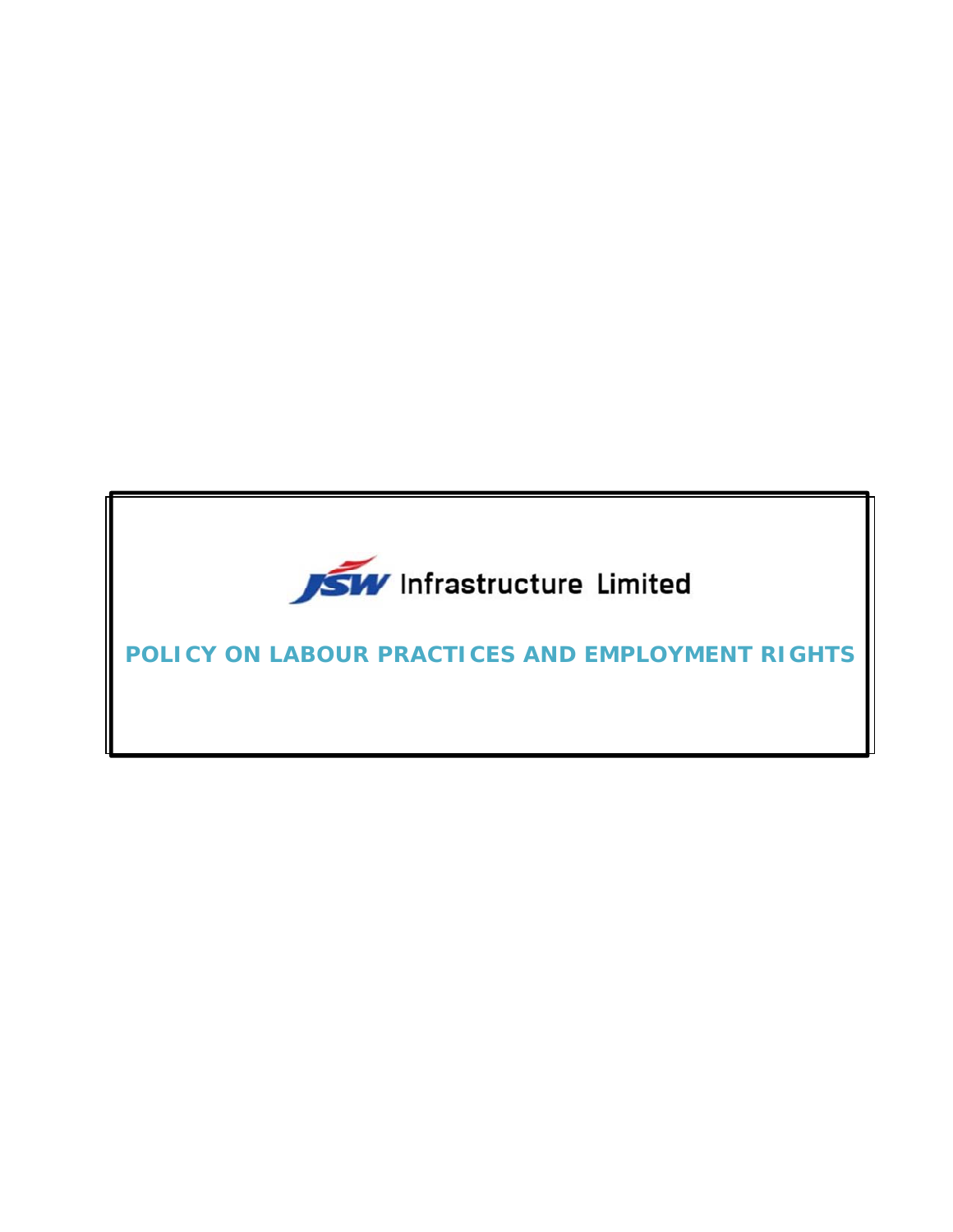

**POLICY ON LABOUR PRACTICES AND EMPLOYMENT RIGHTS**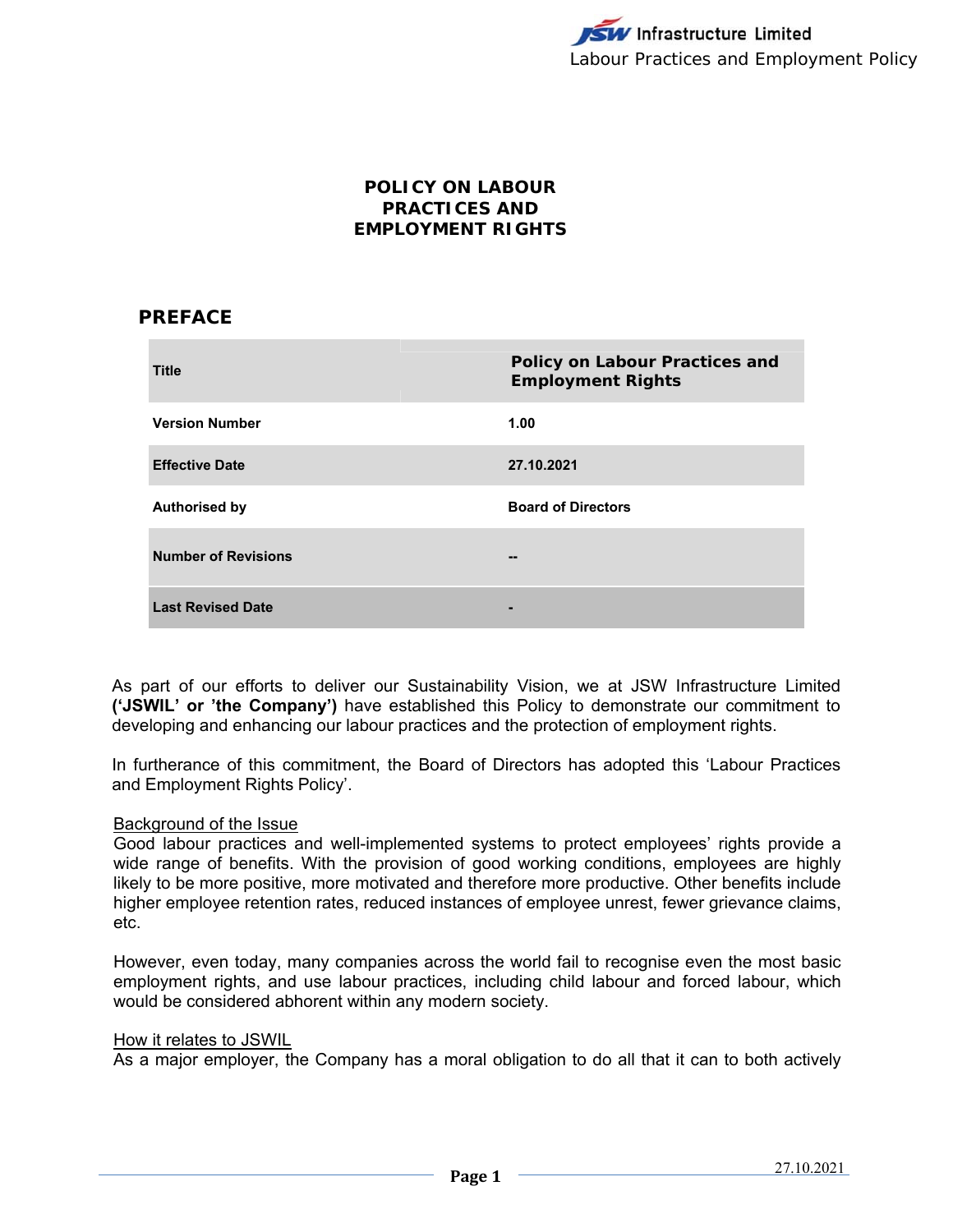## **POLICY ON LABOUR PRACTICES AND EMPLOYMENT RIGHTS**

# **PREFACE**

| <b>Title</b>               | Policy on Labour Practices and<br><b>Employment Rights</b> |
|----------------------------|------------------------------------------------------------|
| <b>Version Number</b>      | 1.00                                                       |
| <b>Effective Date</b>      | 27.10.2021                                                 |
| <b>Authorised by</b>       | <b>Board of Directors</b>                                  |
| <b>Number of Revisions</b> | --                                                         |
| <b>Last Revised Date</b>   | -                                                          |

As part of our efforts to deliver our Sustainability Vision, we at JSW Infrastructure Limited **('JSWIL' or 'the Company')** have established this Policy to demonstrate our commitment to developing and enhancing our labour practices and the protection of employment rights.

In furtherance of this commitment, the Board of Directors has adopted this 'Labour Practices and Employment Rights Policy'.

## Background of the Issue

Good labour practices and well-implemented systems to protect employees' rights provide a wide range of benefits. With the provision of good working conditions, employees are highly likely to be more positive, more motivated and therefore more productive. Other benefits include higher employee retention rates, reduced instances of employee unrest, fewer grievance claims, etc.

However, even today, many companies across the world fail to recognise even the most basic employment rights, and use labour practices, including child labour and forced labour, which would be considered abhorent within any modern society.

#### How it relates to JSWIL

As a major employer, the Company has a moral obligation to do all that it can to both actively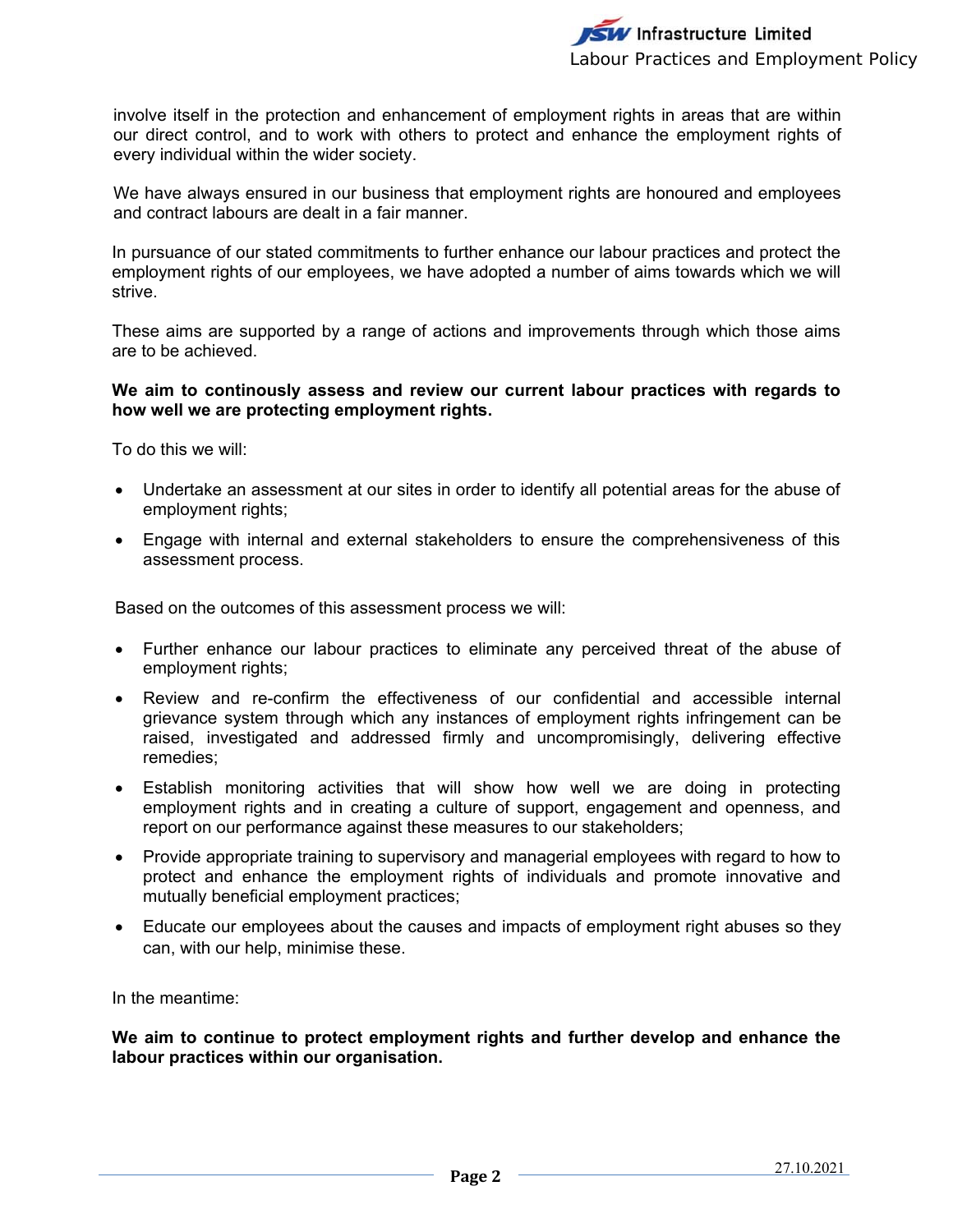involve itself in the protection and enhancement of employment rights in areas that are within our direct control, and to work with others to protect and enhance the employment rights of every individual within the wider society.

We have always ensured in our business that employment rights are honoured and employees and contract labours are dealt in a fair manner.

In pursuance of our stated commitments to further enhance our labour practices and protect the employment rights of our employees, we have adopted a number of aims towards which we will strive.

These aims are supported by a range of actions and improvements through which those aims are to be achieved.

## **We aim to continously assess and review our current labour practices with regards to how well we are protecting employment rights.**

To do this we will:

- Undertake an assessment at our sites in order to identify all potential areas for the abuse of employment rights;
- Engage with internal and external stakeholders to ensure the comprehensiveness of this assessment process.

Based on the outcomes of this assessment process we will:

- Further enhance our labour practices to eliminate any perceived threat of the abuse of employment rights;
- Review and re-confirm the effectiveness of our confidential and accessible internal grievance system through which any instances of employment rights infringement can be raised, investigated and addressed firmly and uncompromisingly, delivering effective remedies;
- Establish monitoring activities that will show how well we are doing in protecting employment rights and in creating a culture of support, engagement and openness, and report on our performance against these measures to our stakeholders;
- Provide appropriate training to supervisory and managerial employees with regard to how to protect and enhance the employment rights of individuals and promote innovative and mutually beneficial employment practices;
- Educate our employees about the causes and impacts of employment right abuses so they can, with our help, minimise these.

In the meantime:

**We aim to continue to protect employment rights and further develop and enhance the labour practices within our organisation.**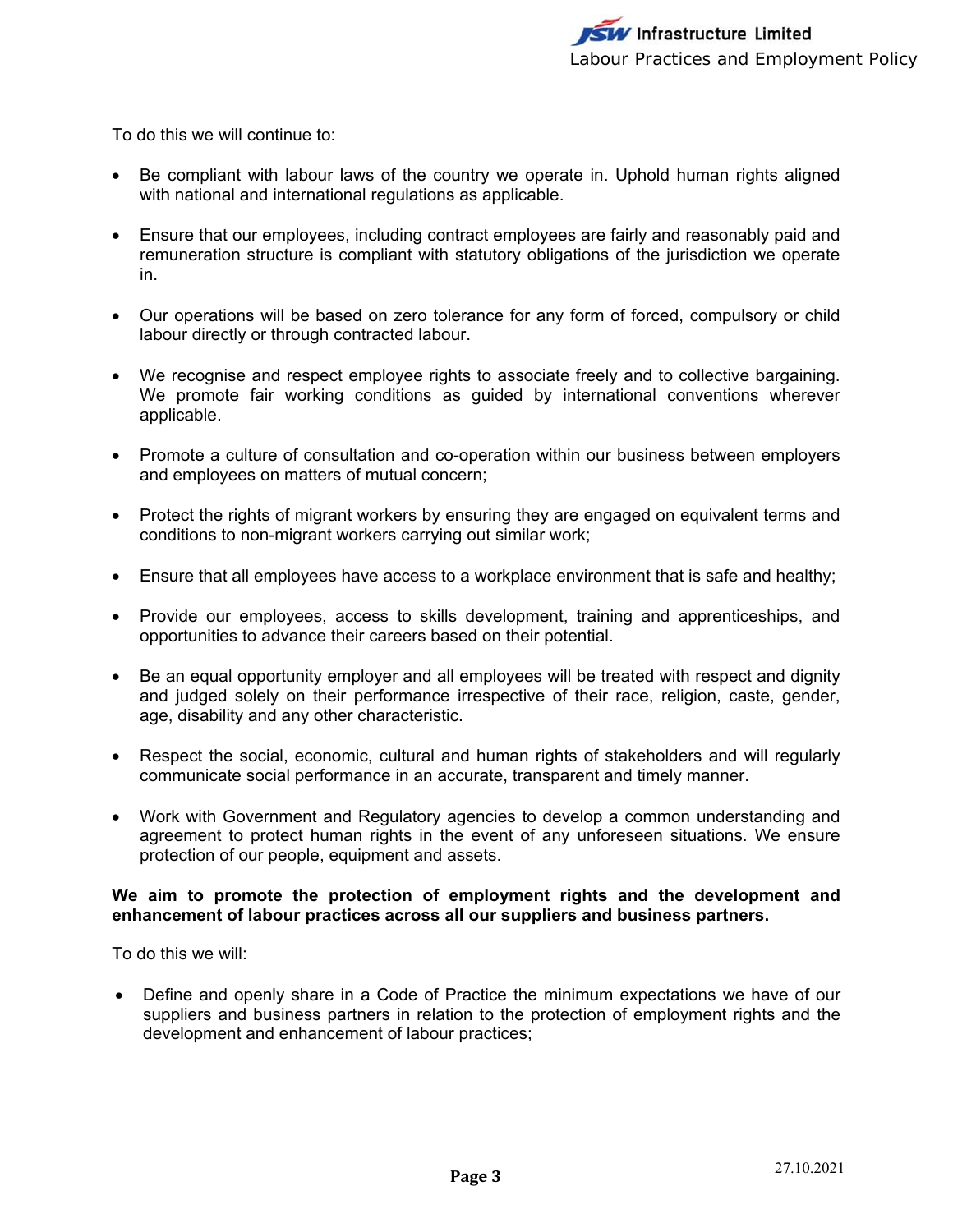To do this we will continue to:

- Be compliant with labour laws of the country we operate in. Uphold human rights aligned with national and international regulations as applicable.
- Ensure that our employees, including contract employees are fairly and reasonably paid and remuneration structure is compliant with statutory obligations of the jurisdiction we operate in.
- Our operations will be based on zero tolerance for any form of forced, compulsory or child labour directly or through contracted labour.
- We recognise and respect employee rights to associate freely and to collective bargaining. We promote fair working conditions as guided by international conventions wherever applicable.
- Promote a culture of consultation and co-operation within our business between employers and employees on matters of mutual concern;
- Protect the rights of migrant workers by ensuring they are engaged on equivalent terms and conditions to non-migrant workers carrying out similar work;
- Ensure that all employees have access to a workplace environment that is safe and healthy;
- Provide our employees, access to skills development, training and apprenticeships, and opportunities to advance their careers based on their potential.
- Be an equal opportunity employer and all employees will be treated with respect and dignity and judged solely on their performance irrespective of their race, religion, caste, gender, age, disability and any other characteristic.
- Respect the social, economic, cultural and human rights of stakeholders and will regularly communicate social performance in an accurate, transparent and timely manner.
- Work with Government and Regulatory agencies to develop a common understanding and agreement to protect human rights in the event of any unforeseen situations. We ensure protection of our people, equipment and assets.

## **We aim to promote the protection of employment rights and the development and enhancement of labour practices across all our suppliers and business partners.**

To do this we will:

 Define and openly share in a Code of Practice the minimum expectations we have of our suppliers and business partners in relation to the protection of employment rights and the development and enhancement of labour practices;